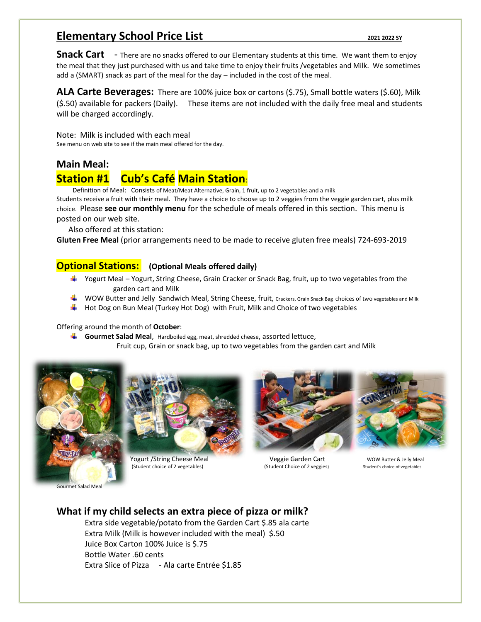## **Elementary School Price List** *2021 2022 SY**2021 2022 SY*

**Snack Cart** - There are no snacks offered to our Elementary students at this time. We want them to enjoy the meal that they just purchased with us and take time to enjoy their fruits /vegetables and Milk. We sometimes add a (SMART) snack as part of the meal for the day – included in the cost of the meal.

**ALA Carte Beverages:** There are 100% juice box or cartons (\$.75), Small bottle waters (\$.60), Milk (\$.50) available for packers (Daily). These items are not included with the daily free meal and students will be charged accordingly.

Note: Milk is included with each meal See menu on web site to see if the main meal offered for the day.

#### **Main Meal:**

## **Station #1 Cub's Café Main Station**:

Definition of Meal: Consists of Meat/Meat Alternative, Grain, 1 fruit, up to 2 vegetables and a milk

Students receive a fruit with their meal. They have a choice to choose up to 2 veggies from the veggie garden cart, plus milk choice. Please **see our monthly menu** for the schedule of meals offered in this section. This menu is posted on our web site.

Also offered at this station:

**Gluten Free Meal** (prior arrangements need to be made to receive gluten free meals) 724-693-2019

#### **Optional Stations: (Optional Meals offered daily)**

- Yogurt Meal Yogurt, String Cheese, Grain Cracker or Snack Bag, fruit, up to two vegetables from the garden cart and Milk
- WOW Butter and Jelly Sandwich Meal, String Cheese, fruit, Crackers, Grain Snack Bag choices of two vegetables and Milk
- $\ddot{\phantom{1}}$  Hot Dog on Bun Meal (Turkey Hot Dog) with Fruit, Milk and Choice of two vegetables

Offering around the month of **October**:

- **Gourmet Salad Meal**, Hardboiled egg, meat, shredded cheese, assorted lettuce,
	- Fruit cup, Grain or snack bag, up to two vegetables from the garden cart and Milk





**Yogurt /String Cheese Meal Cheese Weal Cart Communist Communist Communist Communist Communist Communist Communist Communist Communist Communist Communist Communist Communist Communist Communist Communist Communist Communi** (Student choice of 2 vegetables) (Student Choice of 2 veggies) Student's choice of vegetables



### **What if my child selects an extra piece of pizza or milk?**

Extra side vegetable/potato from the Garden Cart \$.85 ala carte Extra Milk (Milk is however included with the meal) \$.50 Juice Box Carton 100% Juice is \$.75 Bottle Water .60 cents Extra Slice of Pizza - Ala carte Entrée \$1.85